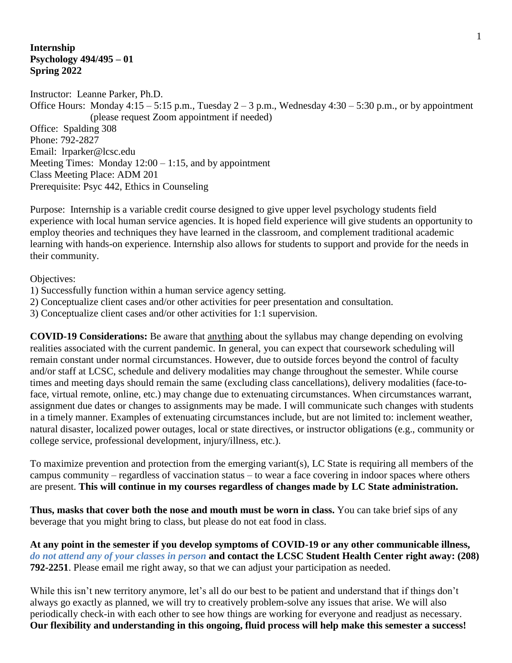### **Internship Psychology 494/495 – 01 Spring 2022**

Instructor: Leanne Parker, Ph.D. Office Hours: Monday  $4:15 - 5:15$  p.m., Tuesday  $2 - 3$  p.m., Wednesday  $4:30 - 5:30$  p.m., or by appointment (please request Zoom appointment if needed) Office: Spalding 308 Phone: 792-2827 Email: lrparker@lcsc.edu Meeting Times: Monday  $12:00 - 1:15$ , and by appointment Class Meeting Place: ADM 201 Prerequisite: Psyc 442, Ethics in Counseling

Purpose: Internship is a variable credit course designed to give upper level psychology students field experience with local human service agencies. It is hoped field experience will give students an opportunity to employ theories and techniques they have learned in the classroom, and complement traditional academic learning with hands-on experience. Internship also allows for students to support and provide for the needs in their community.

Objectives:

- 1) Successfully function within a human service agency setting.
- 2) Conceptualize client cases and/or other activities for peer presentation and consultation.
- 3) Conceptualize client cases and/or other activities for 1:1 supervision.

**COVID-19 Considerations:** Be aware that anything about the syllabus may change depending on evolving realities associated with the current pandemic. In general, you can expect that coursework scheduling will remain constant under normal circumstances. However, due to outside forces beyond the control of faculty and/or staff at LCSC, schedule and delivery modalities may change throughout the semester. While course times and meeting days should remain the same (excluding class cancellations), delivery modalities (face-toface, virtual remote, online, etc.) may change due to extenuating circumstances. When circumstances warrant, assignment due dates or changes to assignments may be made. I will communicate such changes with students in a timely manner. Examples of extenuating circumstances include, but are not limited to: inclement weather, natural disaster, localized power outages, local or state directives, or instructor obligations (e.g., community or college service, professional development, injury/illness, etc.).

To maximize prevention and protection from the emerging variant(s), LC State is requiring all members of the campus community – regardless of vaccination status – to wear a face covering in indoor spaces where others are present. **This will continue in my courses regardless of changes made by LC State administration.**

**Thus, masks that cover both the nose and mouth must be worn in class.** You can take brief sips of any beverage that you might bring to class, but please do not eat food in class.

**At any point in the semester if you develop symptoms of COVID-19 or any other communicable illness,**  *do not attend any of your classes in person* **and contact the LCSC Student Health Center right away: (208) 792-2251**. Please email me right away, so that we can adjust your participation as needed.

While this isn't new territory anymore, let's all do our best to be patient and understand that if things don't always go exactly as planned, we will try to creatively problem-solve any issues that arise. We will also periodically check-in with each other to see how things are working for everyone and readjust as necessary. **Our flexibility and understanding in this ongoing, fluid process will help make this semester a success!**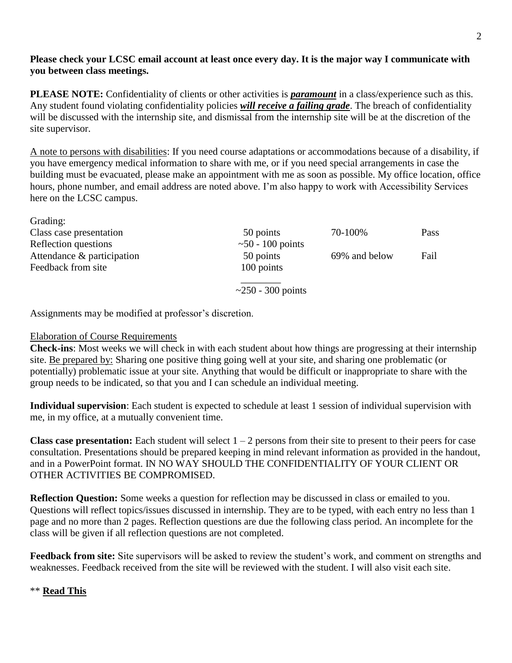## **Please check your LCSC email account at least once every day. It is the major way I communicate with you between class meetings.**

**PLEASE NOTE:** Confidentiality of clients or other activities is *paramount* in a class/experience such as this. Any student found violating confidentiality policies *will receive a failing grade*. The breach of confidentiality will be discussed with the internship site, and dismissal from the internship site will be at the discretion of the site supervisor.

A note to persons with disabilities: If you need course adaptations or accommodations because of a disability, if you have emergency medical information to share with me, or if you need special arrangements in case the building must be evacuated, please make an appointment with me as soon as possible. My office location, office hours, phone number, and email address are noted above. I'm also happy to work with Accessibility Services here on the LCSC campus.

| Grading.                   |                            |               |      |
|----------------------------|----------------------------|---------------|------|
| Class case presentation    | 50 points                  | 70-100%       | Pass |
| Reflection questions       | $\sim$ 50 - 100 points     |               |      |
| Attendance & participation | 50 points                  | 69% and below | Fail |
| Feedback from site         | 100 points                 |               |      |
|                            | $\approx$ 250 - 300 points |               |      |
|                            |                            |               |      |

Assignments may be modified at professor's discretion.

### Elaboration of Course Requirements

 $C_{\text{no}}$  dings:

**Check-ins**: Most weeks we will check in with each student about how things are progressing at their internship site. Be prepared by: Sharing one positive thing going well at your site, and sharing one problematic (or potentially) problematic issue at your site. Anything that would be difficult or inappropriate to share with the group needs to be indicated, so that you and I can schedule an individual meeting.

**Individual supervision**: Each student is expected to schedule at least 1 session of individual supervision with me, in my office, at a mutually convenient time.

**Class case presentation:** Each student will select  $1 - 2$  persons from their site to present to their peers for case consultation. Presentations should be prepared keeping in mind relevant information as provided in the handout, and in a PowerPoint format. IN NO WAY SHOULD THE CONFIDENTIALITY OF YOUR CLIENT OR OTHER ACTIVITIES BE COMPROMISED.

**Reflection Question:** Some weeks a question for reflection may be discussed in class or emailed to you. Questions will reflect topics/issues discussed in internship. They are to be typed, with each entry no less than 1 page and no more than 2 pages. Reflection questions are due the following class period. An incomplete for the class will be given if all reflection questions are not completed.

**Feedback from site:** Site supervisors will be asked to review the student's work, and comment on strengths and weaknesses. Feedback received from the site will be reviewed with the student. I will also visit each site.

# \*\* **Read This**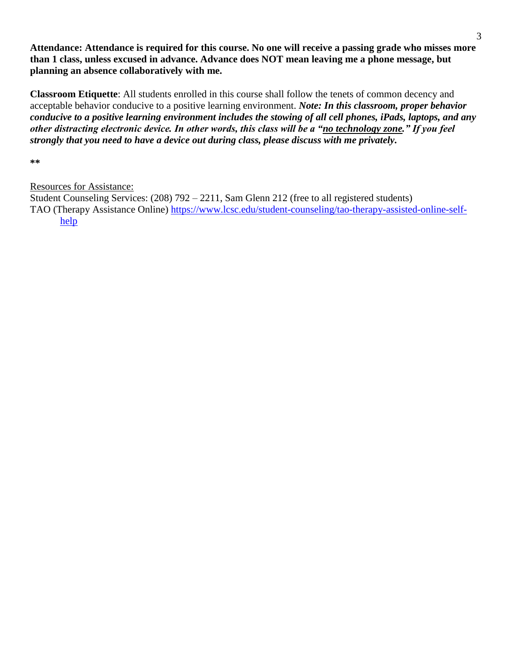**Attendance: Attendance is required for this course. No one will receive a passing grade who misses more than 1 class, unless excused in advance. Advance does NOT mean leaving me a phone message, but planning an absence collaboratively with me.**

**Classroom Etiquette**: All students enrolled in this course shall follow the tenets of common decency and acceptable behavior conducive to a positive learning environment. *Note: In this classroom, proper behavior conducive to a positive learning environment includes the stowing of all cell phones, iPads, laptops, and any other distracting electronic device. In other words, this class will be a "no technology zone." If you feel strongly that you need to have a device out during class, please discuss with me privately.*

**\*\***

# Resources for Assistance:

Student Counseling Services: (208) 792 – 2211, Sam Glenn 212 (free to all registered students) TAO (Therapy Assistance Online) [https://www.lcsc.edu/student-counseling/tao-therapy-assisted-online-self](https://www.lcsc.edu/student-counseling/tao-therapy-assisted-online-self-help)[help](https://www.lcsc.edu/student-counseling/tao-therapy-assisted-online-self-help)